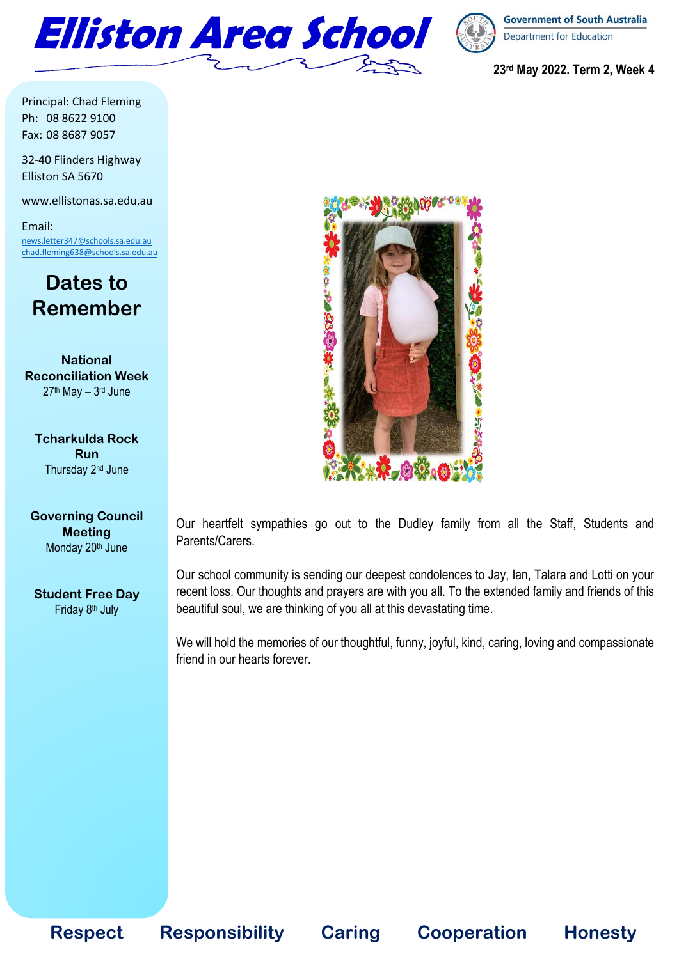



**23rd May 2022. Term 2, Week 4**

Principal: Chad Fleming Ph: 08 8622 9100 Fax: 08 8687 9057

32-40 Flinders Highway Elliston SA 5670

www.ellistonas.sa.edu.au

Email: [news.letter347@schools.sa.edu.au](mailto:news.letter347@schools.sa.edu.au) [chad.fleming638@schools.sa.edu.au](mailto:chad.fleming638@schools.sa.edu.au)

## **Dates to Remember**

**National Reconciliation Week** 27<sup>th</sup> May – 3<sup>rd</sup> June

**Tcharkulda Rock Run** Thursday 2<sup>nd</sup> June

#### **Governing Council Meeting** Monday 20<sup>th</sup> June

**Student Free Day** Friday 8<sup>th</sup> July



Our heartfelt sympathies go out to the Dudley family from all the Staff, Students and Parents/Carers.

Our school community is sending our deepest condolences to Jay, Ian, Talara and Lotti on your recent loss. Our thoughts and prayers are with you all. To the extended family and friends of this beautiful soul, we are thinking of you all at this devastating time.

We will hold the memories of our thoughtful, funny, joyful, kind, caring, loving and compassionate friend in our hearts forever.

**Respect Responsibility Caring Cooperation Honesty**

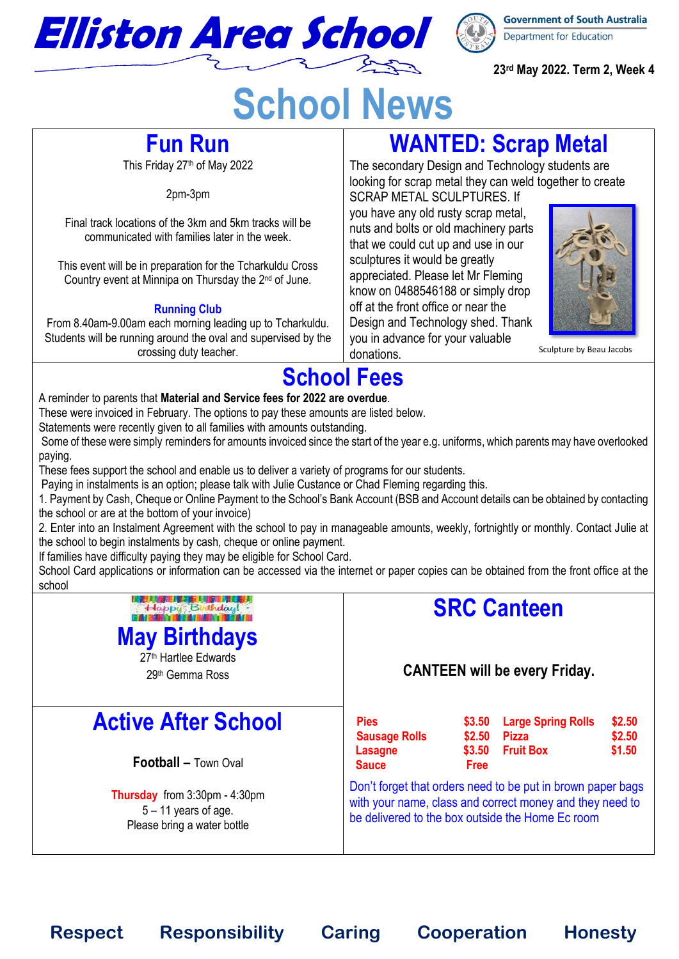

**23rd May 2022. Term 2, Week 4**

# **School News**

## **Fun Run**

This Friday 27th of May 2022

2pm-3pm

Final track locations of the 3km and 5km tracks will be communicated with families later in the week.

This event will be in preparation for the Tcharkuldu Cross Country event at Minnipa on Thursday the 2<sup>nd</sup> of June.

### **Running Club**

From 8.40am-9.00am each morning leading up to Tcharkuldu. Students will be running around the oval and supervised by the crossing duty teacher.

# **WANTED: Scrap Metal**

The secondary Design and Technology students are looking for scrap metal they can weld together to create SCRAP METAL SCULPTURES. If

you have any old rusty scrap metal, nuts and bolts or old machinery parts that we could cut up and use in our sculptures it would be greatly appreciated. Please let Mr Fleming know on 0488546188 or simply drop off at the front office or near the Design and Technology shed. Thank you in advance for your valuable donations.



Sculpture by Beau Jacobs

# **School Fees**

A reminder to parents that **Material and Service fees for 2022 are overdue**.

These were invoiced in February. The options to pay these amounts are listed below.

Statements were recently given to all families with amounts outstanding.

Some of these were simply reminders for amounts invoiced since the start of the year e.g. uniforms, which parents may have overlooked paying.

These fees support the school and enable us to deliver a variety of programs for our students.

Paying in instalments is an option; please talk with Julie Custance or Chad Fleming regarding this.

1. Payment by Cash, Cheque or Online Payment to the School's Bank Account (BSB and Account details can be obtained by contacting the school or are at the bottom of your invoice)

2. Enter into an Instalment Agreement with the school to pay in manageable amounts, weekly, fortnightly or monthly. Contact Julie at the school to begin instalments by cash, cheque or online payment.

If families have difficulty paying they may be eligible for School Card.

School Card applications or information can be accessed via the internet or paper copies can be obtained from the front office at the school

# 

## **May Birthdays**

27<sup>th</sup> Hartlee Edwards 29th Gemma Ross

# **Active After School**

**Football – Town Oval** 

**Thursday** from 3:30pm - 4:30pm  $5 - 11$  vears of age. Please bring a water bottle

# **SRC Canteen**

### **CANTEEN will be every Friday.**

| <b>Pies</b><br><b>Sausage Rolls</b> | \$2.50      | \$3.50 Large Spring Rolls<br><b>Pizza</b> | \$2.50<br>\$2.50 |
|-------------------------------------|-------------|-------------------------------------------|------------------|
| Lasagne                             |             | \$3.50 Fruit Box                          | \$1.50           |
| <b>Sauce</b>                        | <b>Free</b> |                                           |                  |
| 34 C<br>.                           |             |                                           |                  |

Don't forget that orders need to be put in brown paper bags with your name, class and correct money and they need to be delivered to the box outside the Home Ec room

**Respect Responsibility Caring Cooperation Honesty**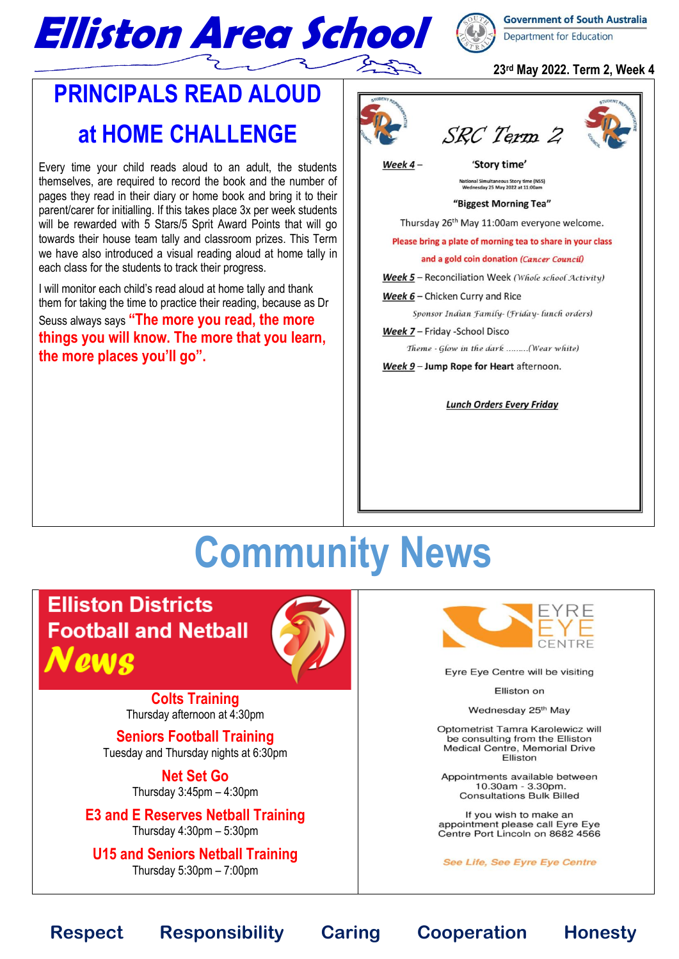

### **23rd May 2022. Term 2, Week 4**

# **PRINCIPALS READ ALOUD at HOME CHALLENGE**

Every time your child reads aloud to an adult, the students themselves, are required to record the book and the number of pages they read in their diary or home book and bring it to their parent/carer for initialling. If this takes place 3x per week students will be rewarded with 5 Stars/5 Sprit Award Points that will go towards their house team tally and classroom prizes. This Term we have also introduced a visual reading aloud at home tally in each class for the students to track their progress.

I will monitor each child's read aloud at home tally and thank them for taking the time to practice their reading, because as Dr Seuss always says **"The more you read, the more things you will know. The more that you learn, the more places you'll go".**



SRC Term 2

Week  $4-$ 

'Story time'

National Simultaneous Story time (NSS)<br>Wednesday 25 May 2022 at 11:00am

#### "Biggest Morning Tea"

Thursday 26<sup>th</sup> May 11:00am everyone welcome.

Please bring a plate of morning tea to share in your class

and a gold coin donation (Cancer Council)

Week 5 - Reconciliation Week (Whole school Activity)

Week 6 - Chicken Curry and Rice

Sponsor Indian Family- (Friday-lunch orders)

Week 7 - Friday - School Disco

Theme - Glow in the dark ........(Wear white)

Week 9 - Jump Rope for Heart afternoon.

**Lunch Orders Every Friday** 

# **Community News**

**Elliston Districts Football and Netball** News



**Colts Training** Thursday afternoon at 4:30pm

**Seniors Football Training** Tuesday and Thursday nights at 6:30pm

> **Net Set Go**  Thursday 3:45pm – 4:30pm

**E3 and E Reserves Netball Training** Thursday 4:30pm – 5:30pm

**U15 and Seniors Netball Training** Thursday  $5:30$ pm  $-7:00$ pm



Eyre Eye Centre will be visiting

Elliston on

Wednesday 25th May

Optometrist Tamra Karolewicz will be consulting from the Elliston Medical Centre, Memorial Drive Elliston

Appointments available between 10.30am - 3.30pm.<br>Consultations Bulk Billed

If you wish to make an appointment please call Eyre Eye Centre Port Lincoln on 8682 4566

See Life, See Eyre Eye Centre

**Respect Responsibility Caring Cooperation Honesty**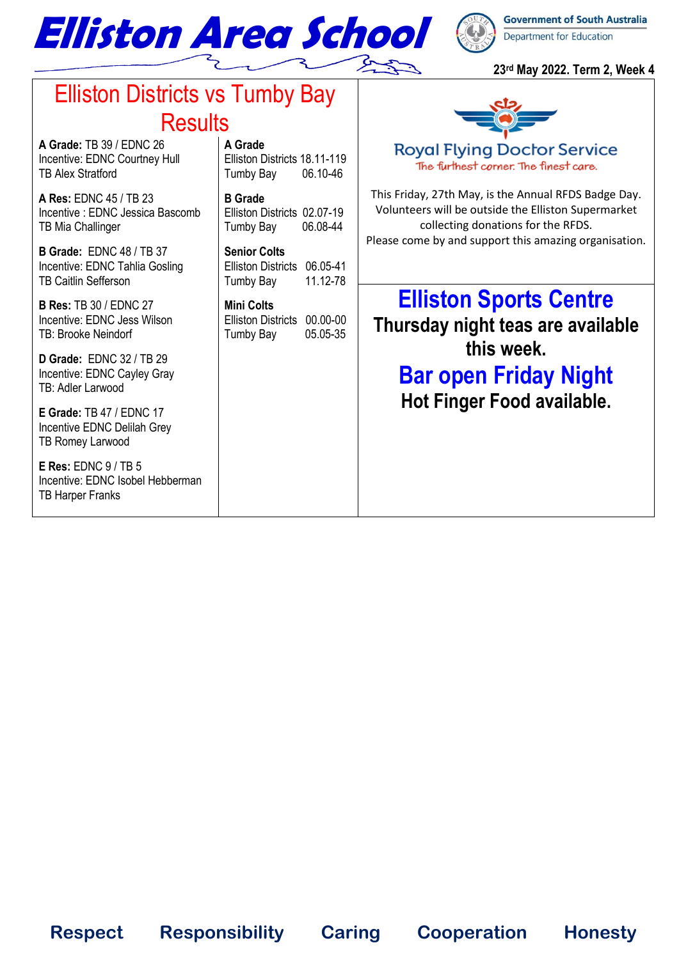

### **23rd May 2022. Term 2, Week 4**

**Royal Flying Doctor Service** The furthest corner. The finest care.

This Friday, 27th May, is the Annual RFDS Badge Day. Volunteers will be outside the Elliston Supermarket collecting donations for the RFDS. Please come by and support this amazing organisation.

### **A Grade** Elliston Districts 18.11-119 Tumby Bay 06.10-46

**Respect Responsibility Caring Cooperation Honesty**

**B Grade**  Elliston Districts 02.07-19 Tumby Bay 06.08-44

**Senior Colts** Elliston Districts 06.05-41

Tumby Bay 11.12-78

**Mini Colts** Elliston Districts 00.00-00 Tumby Bay 05.05-35

# Elliston Districts vs Tumby Bay **Results**

**A Grade:** TB 39 / EDNC 26 Incentive: EDNC Courtney Hull TB Alex Stratford

**A Res:** EDNC 45 / TB 23 Incentive : EDNC Jessica Bascomb TB Mia Challinger

**B Grade:** EDNC 48 / TB 37 Incentive: EDNC Tahlia Gosling TB Caitlin Sefferson

**B Res:** TB 30 / EDNC 27 Incentive: EDNC Jess Wilson TB: Brooke Neindorf

**D Grade:** EDNC 32 / TB 29 Incentive: EDNC Cayley Gray TB: Adler Larwood

**E Grade:** TB 47 / EDNC 17 Incentive EDNC Delilah Grey TB Romey Larwood

**E Res:** EDNC 9 / TB 5 Incentive: EDNC Isobel Hebberman TB Harper Franks

**Elliston Sports Centre Thursday night teas are available this week. Bar open Friday Night**

**Hot Finger Food available.**